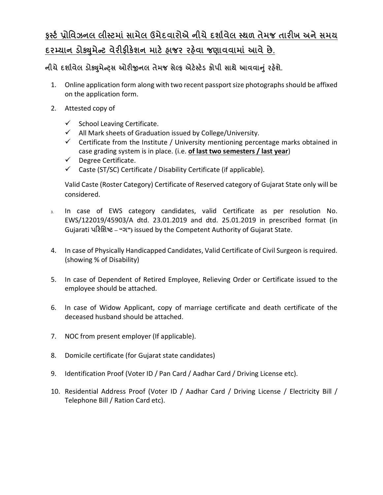## **ફƨટ½ ̆ોિવઝનલ લીƨટમાં સામેલ ઉમેદવારોએ નીચે દશા½વેલ ƨથળ તેમજ તારખ અને સમય દરƠયાન ડોɉુમેƛટ વેરફક°શન માટ° હાજર રહ°વા જણાવવામાં આવે છે.**

**નીચેદશા½વેલ ડોɉુમેƛͫસ ઓરĥનલ તેમજ સેƣફ એટ°ƨટ°ડ કોપી સાથે આવવાȵું રહ°શે.**

- 1. Online application form along with two recent passport size photographs should be affixed on the application form.
- 2. Attested copy of
	- $\checkmark$  School Leaving Certificate.
	- $\checkmark$  All Mark sheets of Graduation issued by College/University.
	- $\checkmark$  Certificate from the Institute / University mentioning percentage marks obtained in case grading system is in place. (i.e. **of last two semesters / last year**)
	- $\checkmark$  Degree Certificate.
	- $\checkmark$  Caste (ST/SC) Certificate / Disability Certificate (if applicable).

Valid Caste (Roster Category) Certificate of Reserved category of Gujarat State only will be considered.

- 3. In case of EWS category candidates, valid Certificate as per resolution No. EWS/122019/45903/A dtd. 23.01.2019 and dtd. 25.01.2019 in prescribed format (in Gujarati **પરિશƧટ – "ગ")** issued by the Competent Authority of Gujarat State.
- 4. In case of Physically Handicapped Candidates, Valid Certificate of Civil Surgeon is required. (showing % of Disability)
- 5. In case of Dependent of Retired Employee, Relieving Order or Certificate issued to the employee should be attached.
- 6. In case of Widow Applicant, copy of marriage certificate and death certificate of the deceased husband should be attached.
- 7. NOC from present employer (If applicable).
- 8. Domicile certificate (for Gujarat state candidates)
- 9. Identification Proof (Voter ID / Pan Card / Aadhar Card / Driving License etc).
- 10. Residential Address Proof (Voter ID / Aadhar Card / Driving License / Electricity Bill / Telephone Bill / Ration Card etc).